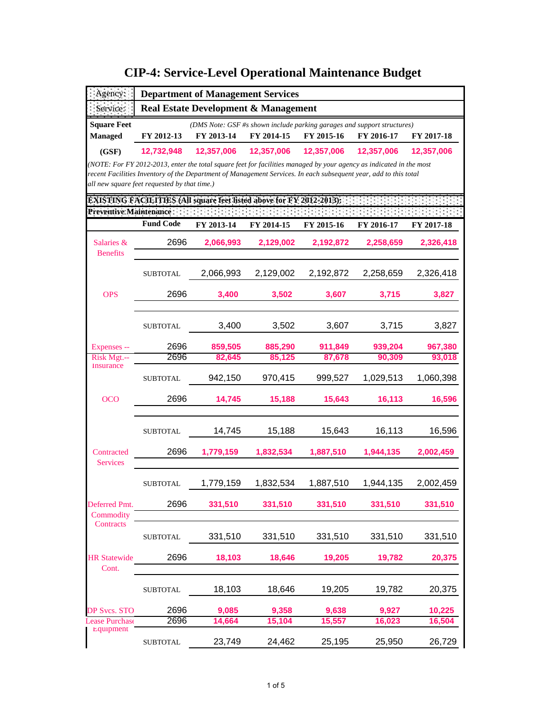| Agency:                                                                                         |                                                                                                                                                                  | <b>Department of Management Services</b> |            |            |            |            |  |  |
|-------------------------------------------------------------------------------------------------|------------------------------------------------------------------------------------------------------------------------------------------------------------------|------------------------------------------|------------|------------|------------|------------|--|--|
| Service:                                                                                        | <b>Real Estate Development &amp; Management</b>                                                                                                                  |                                          |            |            |            |            |  |  |
| <b>Square Feet</b>                                                                              | (DMS Note: GSF #s shown include parking garages and support structures)                                                                                          |                                          |            |            |            |            |  |  |
| <b>Managed</b>                                                                                  | FY 2012-13                                                                                                                                                       | FY 2013-14                               | FY 2014-15 | FY 2015-16 | FY 2016-17 | FY 2017-18 |  |  |
| (GSF)                                                                                           | 12,732,948                                                                                                                                                       | 12,357,006                               | 12,357,006 | 12,357,006 | 12,357,006 | 12,357,006 |  |  |
|                                                                                                 | (NOTE: For FY 2012-2013, enter the total square feet for facilities managed by your agency as indicated in the most                                              |                                          |            |            |            |            |  |  |
|                                                                                                 | recent Facilities Inventory of the Department of Management Services. In each subsequent year, add to this total<br>all new square feet requested by that time.) |                                          |            |            |            |            |  |  |
|                                                                                                 |                                                                                                                                                                  |                                          |            |            |            |            |  |  |
| EXISTING FACILITIES (All square feet listed above for FY 2012-2013);<br>Preventive Maintenance: |                                                                                                                                                                  |                                          |            |            |            |            |  |  |
|                                                                                                 | <b>Fund Code</b>                                                                                                                                                 | FY 2013-14                               | FY 2014-15 | FY 2015-16 | FY 2016-17 | FY 2017-18 |  |  |
| Salaries &<br><b>Benefits</b>                                                                   | 2696                                                                                                                                                             | 2,066,993                                | 2,129,002  | 2,192,872  | 2,258,659  | 2,326,418  |  |  |
|                                                                                                 | <b>SUBTOTAL</b>                                                                                                                                                  | 2,066,993                                | 2,129,002  | 2,192,872  | 2,258,659  | 2,326,418  |  |  |
| <b>OPS</b>                                                                                      | 2696                                                                                                                                                             | 3,400                                    | 3,502      | 3,607      | 3,715      | 3,827      |  |  |
|                                                                                                 |                                                                                                                                                                  |                                          |            |            |            |            |  |  |
|                                                                                                 | <b>SUBTOTAL</b>                                                                                                                                                  | 3,400                                    | 3,502      | 3,607      | 3,715      | 3,827      |  |  |
| Expenses --                                                                                     | 2696                                                                                                                                                             | 859,505                                  | 885,290    | 911,849    | 939,204    | 967,380    |  |  |
| Risk Mgt.--                                                                                     | 2696                                                                                                                                                             | 82,645                                   | 85,125     | 87,678     | 90,309     | 93.018     |  |  |
| Insurance                                                                                       | <b>SUBTOTAL</b>                                                                                                                                                  | 942,150                                  | 970,415    | 999,527    | 1,029,513  | 1,060,398  |  |  |
| <b>OCO</b>                                                                                      | 2696                                                                                                                                                             | 14,745                                   | 15,188     | 15,643     | 16,113     | 16,596     |  |  |
|                                                                                                 | <b>SUBTOTAL</b>                                                                                                                                                  | 14,745                                   | 15,188     | 15,643     | 16,113     | 16,596     |  |  |
| Contracted<br><b>Services</b>                                                                   | 2696                                                                                                                                                             | 1,779,159                                | 1,832,534  | 1,887,510  | 1,944,135  | 2,002,459  |  |  |
|                                                                                                 | <b>SUBTOTAL</b>                                                                                                                                                  | 1,779,159                                | 1,832,534  | 1,887,510  | 1,944,135  | 2,002,459  |  |  |
| Deferred Pmt.                                                                                   | 2696                                                                                                                                                             | 331,510                                  | 331,510    | 331,510    | 331,510    | 331,510    |  |  |
| Commodity<br>Contracts                                                                          |                                                                                                                                                                  |                                          |            |            |            |            |  |  |
|                                                                                                 | <b>SUBTOTAL</b>                                                                                                                                                  | 331,510                                  | 331,510    | 331,510    | 331,510    | 331,510    |  |  |
| <b>HR Statewide</b><br>Cont.                                                                    | 2696                                                                                                                                                             | 18,103                                   | 18,646     | 19,205     | 19,782     | 20,375     |  |  |
|                                                                                                 | <b>SUBTOTAL</b>                                                                                                                                                  | 18,103                                   | 18,646     | 19,205     | 19,782     | 20,375     |  |  |
| P Svcs. STO                                                                                     | 2696                                                                                                                                                             | 9,085                                    | 9,358      | 9,638      | 9,927      | 10,225     |  |  |
| ease Purchase                                                                                   | 2696                                                                                                                                                             | 14,664                                   | 15,104     | 15,557     | 16,023     | 16,504     |  |  |
| Equipment                                                                                       | <b>SUBTOTAL</b>                                                                                                                                                  | 23,749                                   | 24,462     | 25,195     | 25,950     | 26,729     |  |  |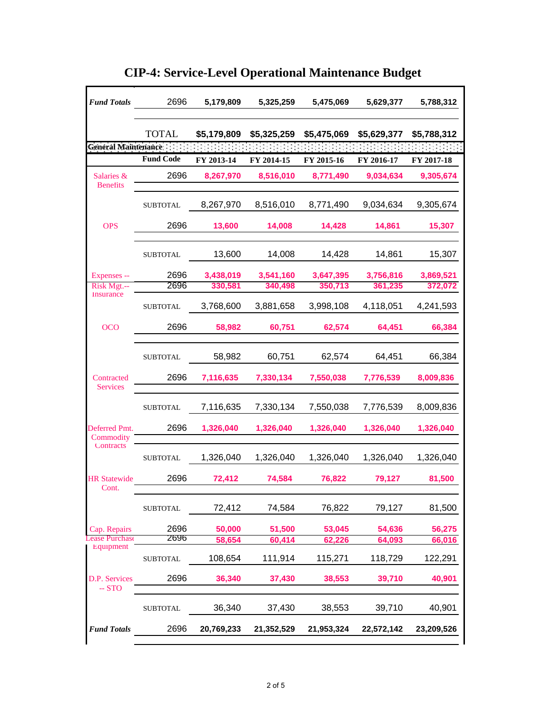| <b>Fund Totals</b>            | 2696             | 5,179,809   | 5,325,259   | 5,475,069   | 5,629,377   | 5,788,312   |
|-------------------------------|------------------|-------------|-------------|-------------|-------------|-------------|
|                               | <b>TOTAL</b>     | \$5,179,809 | \$5,325,259 | \$5,475,069 | \$5,629,377 | \$5,788,312 |
| <b>General Maintenance</b>    |                  |             |             |             |             |             |
|                               | <b>Fund Code</b> | FY 2013-14  | FY 2014-15  | FY 2015-16  | FY 2016-17  | FY 2017-18  |
| Salaries &<br><b>Benefits</b> | 2696             | 8,267,970   | 8,516,010   | 8,771,490   | 9,034,634   | 9,305,674   |
|                               | <b>SUBTOTAL</b>  | 8,267,970   | 8,516,010   | 8,771,490   | 9,034,634   | 9,305,674   |
| <b>OPS</b>                    | 2696             | 13,600      | 14,008      | 14,428      | 14,861      | 15,307      |
|                               | <b>SUBTOTAL</b>  | 13,600      | 14,008      | 14,428      | 14,861      | 15,307      |
| Expenses --                   | 2696             | 3,438,019   | 3,541,160   | 3,647,395   | 3,756,816   | 3,869,521   |
| Risk Mgt.--                   | 2696             | 330,581     | 340,498     | 350,713     | 361,235     | 372,072     |
| <b>Insurance</b>              | <b>SUBTOTAL</b>  | 3,768,600   | 3,881,658   | 3,998,108   | 4,118,051   | 4,241,593   |
| <b>OCO</b>                    | 2696             | 58,982      | 60,751      | 62,574      | 64,451      | 66,384      |
|                               | <b>SUBTOTAL</b>  | 58,982      | 60,751      | 62,574      | 64,451      | 66,384      |
| Contracted<br><b>Services</b> | 2696             | 7,116,635   | 7,330,134   | 7,550,038   | 7,776,539   | 8,009,836   |
|                               | <b>SUBTOTAL</b>  | 7,116,635   | 7,330,134   | 7,550,038   | 7,776,539   | 8,009,836   |
| Deferred Pmt.<br>Commodity    | 2696             | 1,326,040   | 1,326,040   | 1,326,040   | 1,326,040   | 1,326,040   |
| <b>Contracts</b>              | <b>SUBTOTAL</b>  | 1,326,040   | 1,326,040   | 1,326,040   | 1,326,040   | 1,326,040   |
| <b>HR</b> Statewide<br>Cont.  | 2696             | 72,412      | 74,584      | 76,822      | 79,127      | 81,500      |
|                               | <b>SUBTOTAL</b>  | 72,412      | 74,584      | 76,822      | 79,127      | 81,500      |
| Cap. Repairs                  | 2696             | 50,000      | 51,500      | 53,045      | 54,636      | 56,275      |
| se Purchase                   | 2696             | 58,654      | 60,414      | 62,226      | 64,093      | 66,016      |
| Equipment                     | <b>SUBTOTAL</b>  | 108,654     | 111,914     | 115,271     | 118,729     | 122,291     |
| D.P. Services<br>$-STO$       | 2696             | 36,340      | 37,430      | 38,553      | 39,710      | 40,901      |
|                               | <b>SUBTOTAL</b>  | 36,340      | 37,430      | 38,553      | 39,710      | 40,901      |
| <b>Fund Totals</b>            | 2696             | 20,769,233  | 21,352,529  | 21,953,324  | 22,572,142  | 23,209,526  |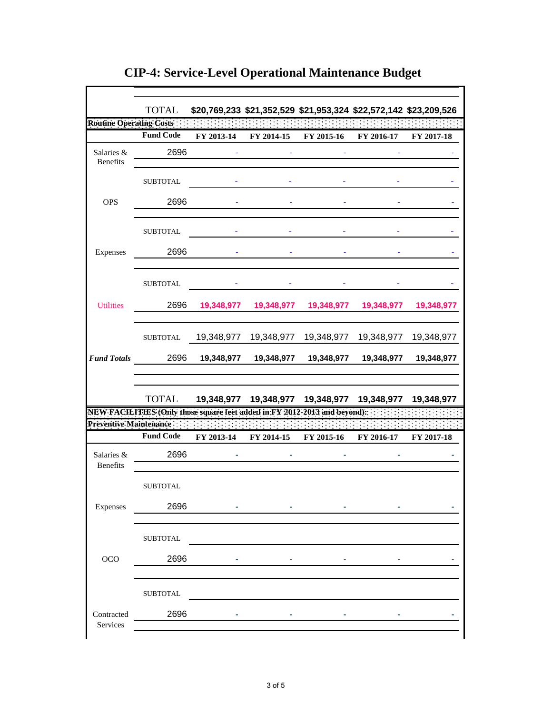|                                | <b>TOTAL</b>                                                              |            |            | \$20,769,233 \$21,352,529 \$21,953,324 \$22,572,142 \$23,209,526 |            |            |
|--------------------------------|---------------------------------------------------------------------------|------------|------------|------------------------------------------------------------------|------------|------------|
| <b>Routine Operating Costs</b> |                                                                           |            |            |                                                                  |            |            |
|                                | <b>Fund Code</b>                                                          | FY 2013-14 | FY 2014-15 | FY 2015-16                                                       | FY 2016-17 | FY 2017-18 |
| Salaries &<br>Benefits         | 2696                                                                      |            |            |                                                                  |            |            |
|                                | <b>SUBTOTAL</b>                                                           |            |            |                                                                  |            |            |
| <b>OPS</b>                     | 2696                                                                      |            |            |                                                                  |            |            |
|                                | <b>SUBTOTAL</b>                                                           |            |            |                                                                  |            |            |
| Expenses                       | 2696                                                                      |            |            |                                                                  |            |            |
|                                | <b>SUBTOTAL</b>                                                           |            |            |                                                                  |            |            |
| <b>Utilities</b>               | 2696                                                                      | 19,348,977 | 19,348,977 | 19,348,977                                                       | 19,348,977 | 19,348,977 |
|                                | <b>SUBTOTAL</b>                                                           | 19,348,977 | 19,348,977 | 19,348,977                                                       | 19,348,977 | 19,348,977 |
| <b>Fund Totals</b>             | 2696                                                                      | 19,348,977 | 19,348,977 | 19,348,977                                                       | 19,348,977 | 19,348,977 |
|                                |                                                                           |            |            | TOTAL 19,348,977 19,348,977 19,348,977 19,348,977 19,348,977     |            |            |
|                                | NEW FACILITIES (Only those square feet added in FY 2012-2013 and beyond): |            |            |                                                                  |            |            |
| Preventive Maintenance         | <b>Fund Code</b>                                                          |            |            |                                                                  |            |            |
|                                |                                                                           | FY 2013-14 | FY 2014-15 | FY 2015-16                                                       | FY 2016-17 | FY 2017-18 |
| Salaries &<br><b>Benefits</b>  | 2696                                                                      |            |            |                                                                  |            |            |
|                                | <b>SUBTOTAL</b>                                                           |            |            |                                                                  |            |            |
| Expenses                       | 2696                                                                      |            |            |                                                                  |            |            |
|                                | SUBTOTAL                                                                  |            |            |                                                                  |            |            |
| $_{\rm OCO}$                   | 2696                                                                      |            |            |                                                                  |            |            |
|                                | <b>SUBTOTAL</b>                                                           |            |            |                                                                  |            |            |
| Contracted<br>Services         | 2696                                                                      |            |            |                                                                  |            |            |
|                                |                                                                           |            |            |                                                                  |            |            |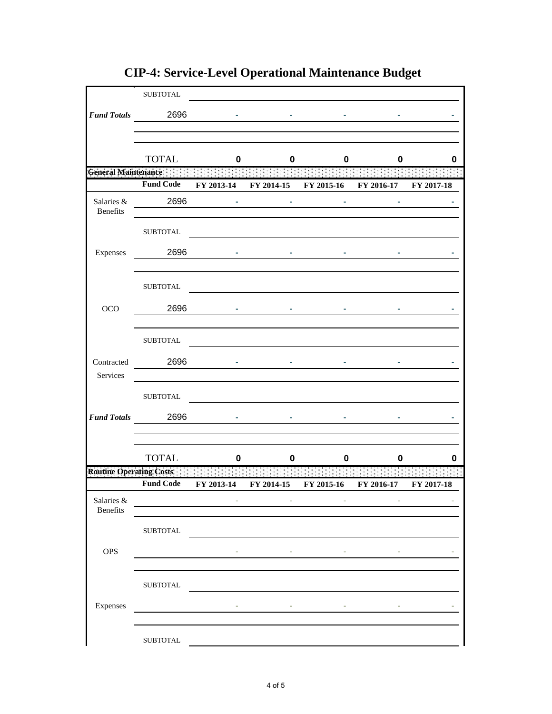|                                 | <b>SUBTOTAL</b>  |            |            |                                  |                       |            |
|---------------------------------|------------------|------------|------------|----------------------------------|-----------------------|------------|
|                                 | Fund Totals 2696 |            |            |                                  |                       |            |
|                                 |                  |            |            |                                  |                       |            |
|                                 |                  |            |            |                                  |                       |            |
|                                 | <b>TOTAL</b>     | 0          | 0          | 0                                | 0                     | 0          |
| General Maintenance ::          | <b>Fund Code</b> |            |            | FY 2013-14 FY 2014-15 FY 2015-16 | FY 2016-17 FY 2017-18 |            |
| Salaries &                      | 2696             |            |            |                                  |                       |            |
| Benefits                        |                  |            |            |                                  |                       |            |
|                                 | <b>SUBTOTAL</b>  |            |            |                                  |                       |            |
| Expenses                        | 2696             |            |            |                                  |                       |            |
|                                 |                  |            |            |                                  |                       |            |
|                                 | <b>SUBTOTAL</b>  |            |            |                                  |                       |            |
| OCO                             | 2696             |            |            |                                  |                       |            |
|                                 |                  |            |            |                                  |                       |            |
|                                 | <b>SUBTOTAL</b>  |            |            |                                  |                       |            |
| Contracted                      | 2696             |            |            |                                  |                       |            |
| Services                        |                  |            |            |                                  |                       |            |
|                                 | ${\tt SUBTOTAL}$ |            |            |                                  |                       |            |
|                                 |                  |            |            |                                  |                       |            |
|                                 | Fund Totals 2696 |            |            |                                  |                       |            |
|                                 |                  |            |            |                                  |                       |            |
|                                 | <b>TOTAL</b>     | 0          | O          | 0                                | 0                     | 0          |
| <b>Routine Operating Costs:</b> |                  |            |            |                                  |                       |            |
|                                 | <b>Fund Code</b> | FY 2013-14 | FY 2014-15 | FY 2015-16                       | FY 2016-17            | FY 2017-18 |
| Salaries &<br>Benefits          |                  |            |            |                                  |                       |            |
|                                 | <b>SUBTOTAL</b>  |            |            |                                  |                       |            |
|                                 |                  |            |            |                                  |                       |            |
| <b>OPS</b>                      |                  |            |            |                                  |                       |            |
|                                 | ${\tt SUBTOTAL}$ |            |            |                                  |                       |            |
|                                 |                  |            |            |                                  |                       |            |
| Expenses                        |                  | ٠          | ٠          | ٠                                |                       |            |
|                                 |                  |            |            |                                  |                       |            |
|                                 | ${\tt SUBTOTAL}$ |            |            |                                  |                       |            |

**CIP-4: Service-Level Operational Maintenance Budget**